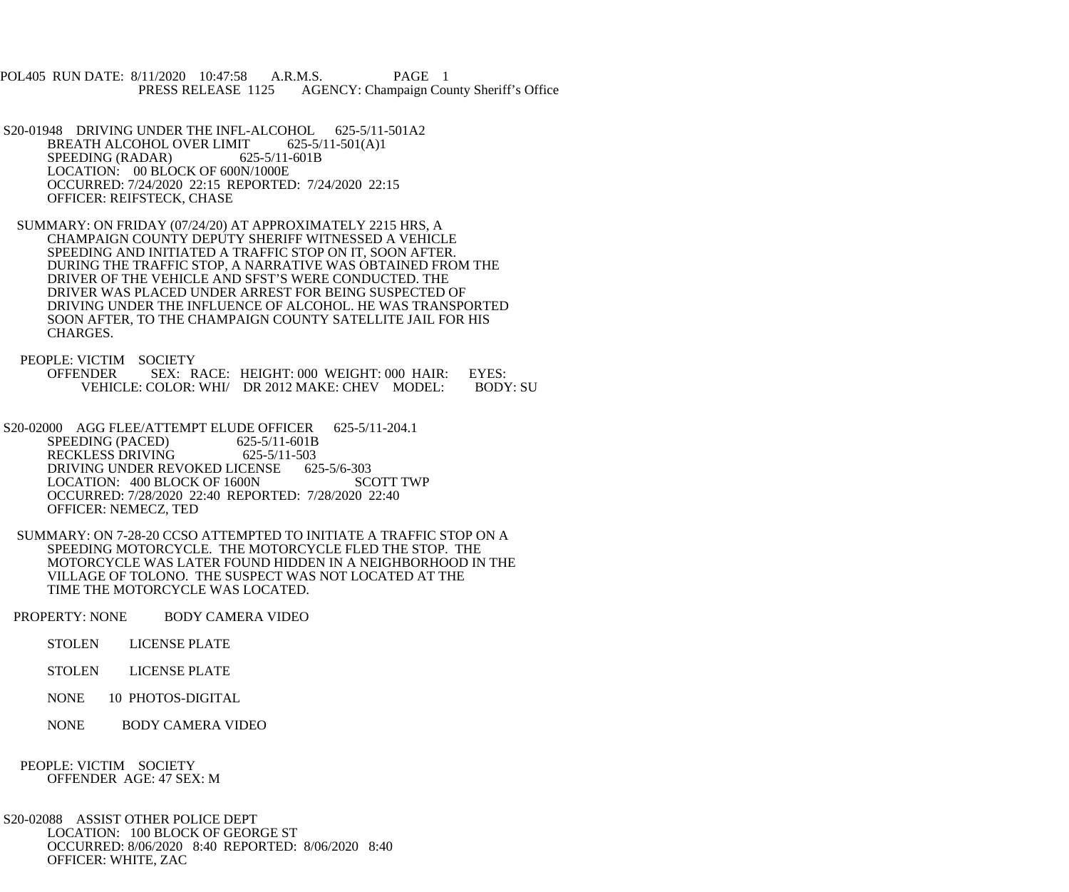POL405 RUN DATE: 8/11/2020 10:47:58 A.R.M.S. PAGE 1<br>PRESS RELEASE 1125 AGENCY: Champaign Cou AGENCY: Champaign County Sheriff's Office

S20-01948 DRIVING UNDER THE INFL-ALCOHOL 625-5/11-501A2<br>BREATH ALCOHOL OVER LIMIT 625-5/11-501(A)1 BREATH ALCOHOL OVER LIMIT SPEEDING (RADAR) 625-5/11-601B LOCATION: 00 BLOCK OF 600N/1000E OCCURRED: 7/24/2020 22:15 REPORTED: 7/24/2020 22:15 OFFICER: REIFSTECK, CHASE

 SUMMARY: ON FRIDAY (07/24/20) AT APPROXIMATELY 2215 HRS, A CHAMPAIGN COUNTY DEPUTY SHERIFF WITNESSED A VEHICLE SPEEDING AND INITIATED A TRAFFIC STOP ON IT, SOON AFTER. DURING THE TRAFFIC STOP, A NARRATIVE WAS OBTAINED FROM THE DRIVER OF THE VEHICLE AND SFST'S WERE CONDUCTED. THE DRIVER WAS PLACED UNDER ARREST FOR BEING SUSPECTED OF DRIVING UNDER THE INFLUENCE OF ALCOHOL. HE WAS TRANSPORTED SOON AFTER, TO THE CHAMPAIGN COUNTY SATELLITE JAIL FOR HIS CHARGES.

 PEOPLE: VICTIM SOCIETY OFFENDER SEX: RACE: HEIGHT: 000 WEIGHT: 000 HAIR: EYES:<br>VEHICLE: COLOR: WHI/ DR 2012 MAKE: CHEV MODEL: BODY: SU VEHICLE: COLOR: WHI/ DR 2012 MAKE: CHEV MODEL:

S20-02000 AGG FLEE/ATTEMPT ELUDE OFFICER 625-5/11-204.1<br>SPEEDING (PACED) 625-5/11-601B SPEEDING (PACED) RECKLESS DRIVING 625-5/11-503<br>DRIVING UNDER REVOKED LICENSE 625-5/6-303 DRIVING UNDER REVOKED LICENSE 625-5/6-303<br>LOCATION: 400 BLOCK OF 1600N SCOTT TWP LOCATION: 400 BLOCK OF 1600N OCCURRED: 7/28/2020 22:40 REPORTED: 7/28/2020 22:40 OFFICER: NEMECZ, TED

 SUMMARY: ON 7-28-20 CCSO ATTEMPTED TO INITIATE A TRAFFIC STOP ON A SPEEDING MOTORCYCLE. THE MOTORCYCLE FLED THE STOP. THE MOTORCYCLE WAS LATER FOUND HIDDEN IN A NEIGHBORHOOD IN THE VILLAGE OF TOLONO. THE SUSPECT WAS NOT LOCATED AT THE TIME THE MOTORCYCLE WAS LOCATED.

PROPERTY: NONE BODY CAMERA VIDEO

STOLEN LICENSE PLATE

STOLEN LICENSE PLATE

NONE 10 PHOTOS-DIGITAL

NONE BODY CAMERA VIDEO

 PEOPLE: VICTIM SOCIETY OFFENDER AGE: 47 SEX: M

 S20-02088 ASSIST OTHER POLICE DEPT LOCATION: 100 BLOCK OF GEORGE ST OCCURRED: 8/06/2020 8:40 REPORTED: 8/06/2020 8:40 OFFICER: WHITE, ZAC